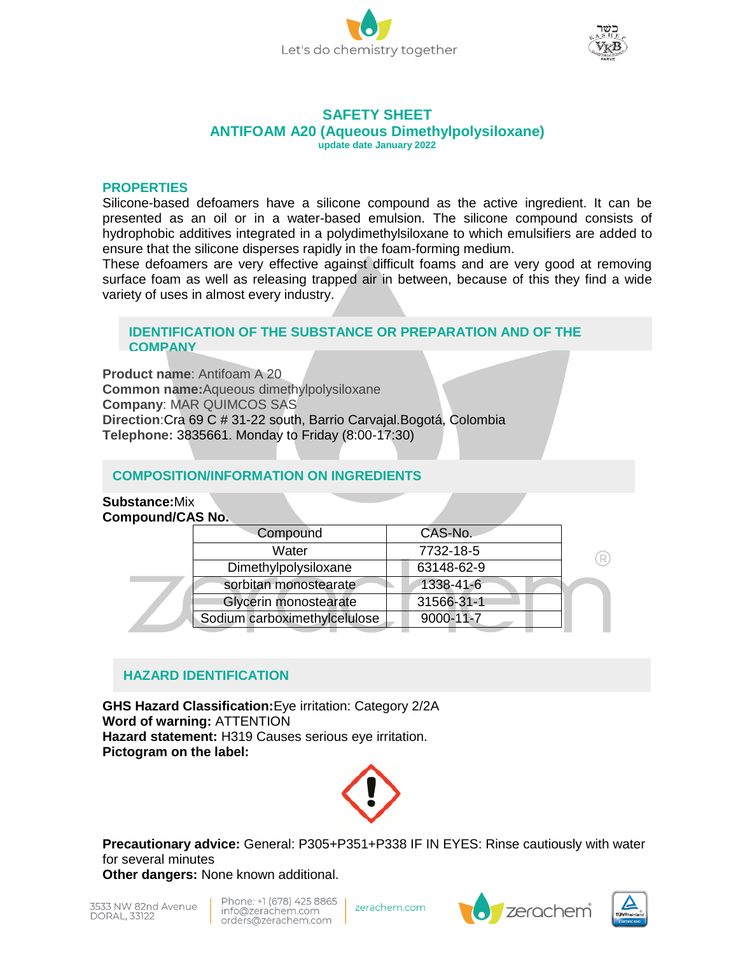



#### **SAFETY SHEET ANTIFOAM A20 (Aqueous Dimethylpolysiloxane) update date January 2022**

#### **PROPERTIES**

Silicone-based defoamers have a silicone compound as the active ingredient. It can be presented as an oil or in a water-based emulsion. The silicone compound consists of hydrophobic additives integrated in a polydimethylsiloxane to which emulsifiers are added to ensure that the silicone disperses rapidly in the foam-forming medium.

These defoamers are very effective against difficult foams and are very good at removing surface foam as well as releasing trapped air in between, because of this they find a wide variety of uses in almost every industry.

#### **IDENTIFICATION OF THE SUBSTANCE OR PREPARATION AND OF THE COMPANY**

**Product name**: Antifoam A 20 **Common name:**Aqueous dimethylpolysiloxane **Company**: MAR QUIMCOS SAS **Direction**:Cra 69 C # 31-22 south, Barrio Carvajal.Bogotá, Colombia **Telephone:** 3835661. Monday to Friday (8:00-17:30)

#### **COMPOSITION/INFORMATION ON INGREDIENTS**

#### **Substance:**Mix **Compound/CAS No.**

**Contract** 

|  | Compound                     | CAS-No.    |  |
|--|------------------------------|------------|--|
|  | Water                        | 7732-18-5  |  |
|  | Dimethylpolysiloxane         | 63148-62-9 |  |
|  | sorbitan monostearate        | 1338-41-6  |  |
|  | Glycerin monostearate        | 31566-31-1 |  |
|  | Sodium carboximethylcelulose | 9000-11-7  |  |

# **HAZARD IDENTIFICATION**

**GHS Hazard Classification:**Eye irritation: Category 2/2A **Word of warning:** ATTENTION **Hazard statement:** H319 Causes serious eye irritation. **Pictogram on the label:**



**Precautionary advice:** General: P305+P351+P338 IF IN EYES: Rinse cautiously with water for several minutes

**Other dangers:** None known additional.

Phone: +1 (678) 425 8865 info@zerachem.com orders@zerachem.com

zerachem.com



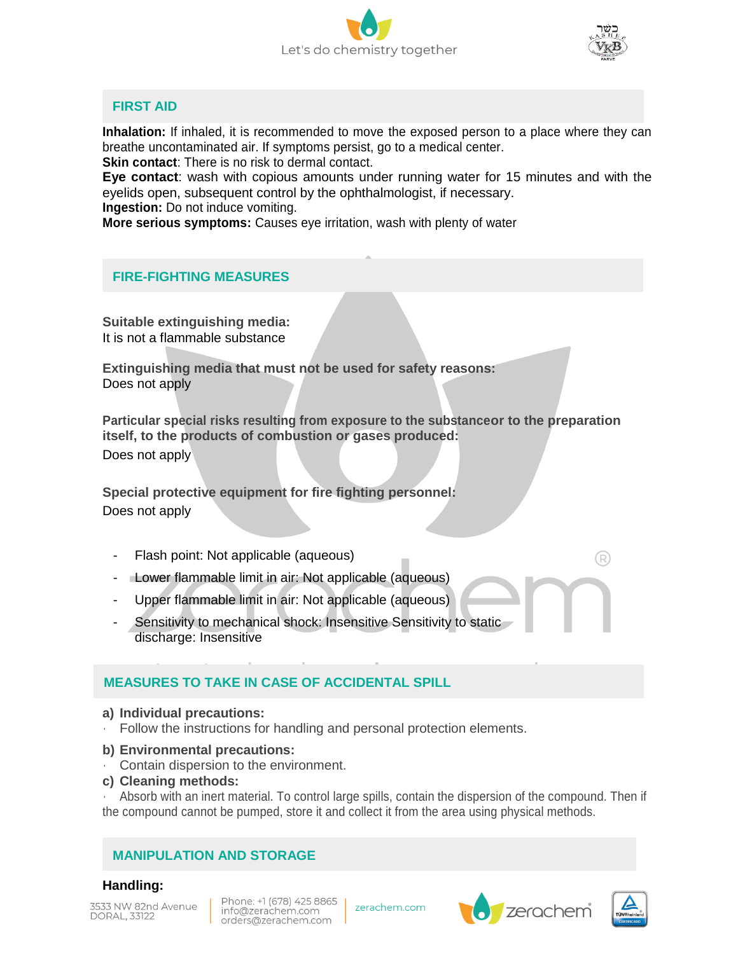



## **FIRST AID**

**Inhalation:** If inhaled, it is recommended to move the exposed person to a place where they can breathe uncontaminated air. If symptoms persist, go to a medical center.

**Skin contact:** There is no risk to dermal contact.

**Eye contact**: wash with copious amounts under running water for 15 minutes and with the eyelids open, subsequent control by the ophthalmologist, if necessary.

**Ingestion:** Do not induce vomiting.

**More serious symptoms:** Causes eye irritation, wash with plenty of water

# **FIRE-FIGHTING MEASURES**

**Suitable extinguishing media:** It is not a flammable substance

**Extinguishing media that must not be used for safety reasons:** Does not apply

**Particular special risks resulting from exposure to the substanceor to the preparation itself, to the products of combustion or gases produced:** Does not apply

**Special protective equipment for fire fighting personnel:** Does not apply

- Flash point: Not applicable (aqueous)
- Lower flammable limit in air: Not applicable (aqueous)
- Upper flammable limit in air: Not applicable (aqueous)
- Sensitivity to mechanical shock: Insensitive Sensitivity to static discharge: Insensitive

# **MEASURES TO TAKE IN CASE OF ACCIDENTAL SPILL**

#### **a) Individual precautions:**

• Follow the instructions for handling and personal protection elements.

#### **b) Environmental precautions:**

- Contain dispersion to the environment.
- **c) Cleaning methods:**

• Absorb with an inert material. To control large spills, contain the dispersion of the compound. Then if the compound cannot be pumped, store it and collect it from the area using physical methods.

## **MANIPULATION AND STORAGE**

## **Handling:**

3533 NW 82nd Avenue DORAL, 33122

Phone: +1 (678) 425 8865 info@zerachem.com orders@zerachem.com

zerachem.com





 $\bigcirc$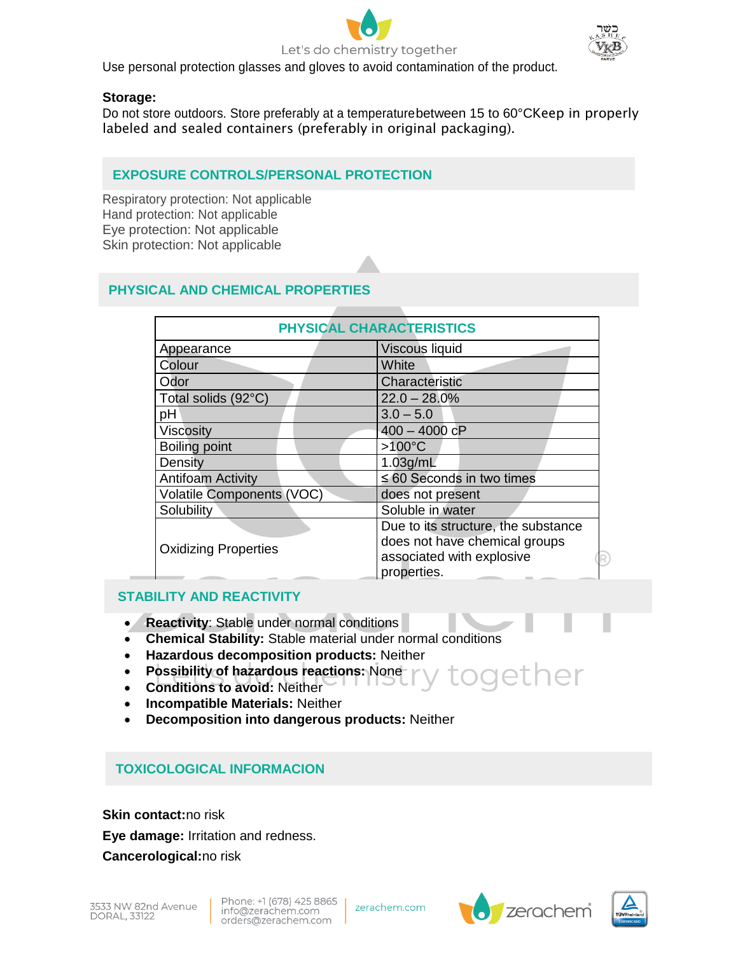



Use personal protection glasses and gloves to avoid contamination of the product.

# **Storage:**

Do not store outdoors. Store preferably at a temperaturebetween 15 to 60°CKeep in properly labeled and sealed containers (preferably in original packaging).

# **EXPOSURE CONTROLS/PERSONAL PROTECTION**

Respiratory protection: Not applicable Hand protection: Not applicable Eye protection: Not applicable Skin protection: Not applicable

# **PHYSICAL AND CHEMICAL PROPERTIES**

| PHYSICAL CHARACTERISTICS                                                                                         |  |  |  |  |  |
|------------------------------------------------------------------------------------------------------------------|--|--|--|--|--|
| <b>Viscous liquid</b>                                                                                            |  |  |  |  |  |
| White                                                                                                            |  |  |  |  |  |
| Characteristic                                                                                                   |  |  |  |  |  |
| $22.0 - 28.0\%$                                                                                                  |  |  |  |  |  |
| $3.0 - 5.0$                                                                                                      |  |  |  |  |  |
| $400 - 4000$ cP                                                                                                  |  |  |  |  |  |
| $>100^{\circ}$ C                                                                                                 |  |  |  |  |  |
| $1.03$ g/mL                                                                                                      |  |  |  |  |  |
| $\leq 60$ Seconds in two times                                                                                   |  |  |  |  |  |
| does not present                                                                                                 |  |  |  |  |  |
| Soluble in water                                                                                                 |  |  |  |  |  |
| Due to its structure, the substance<br>does not have chemical groups<br>associated with explosive<br>properties. |  |  |  |  |  |
|                                                                                                                  |  |  |  |  |  |

# **STABILITY AND REACTIVITY**

- **Reactivity**: Stable under normal conditions
- **Chemical Stability:** Stable material under normal conditions
- **Hazardous decomposition products:** Neither
- **Possibility of hazardous reactions:** None odether
- **Conditions to avoid:** Neither
- **Incompatible Materials:** Neither
- **Decomposition into dangerous products:** Neither

# **TOXICOLOGICAL INFORMACION**

**Skin contact:**no risk **Eye damage:** Irritation and redness. **Cancerological:**no risk